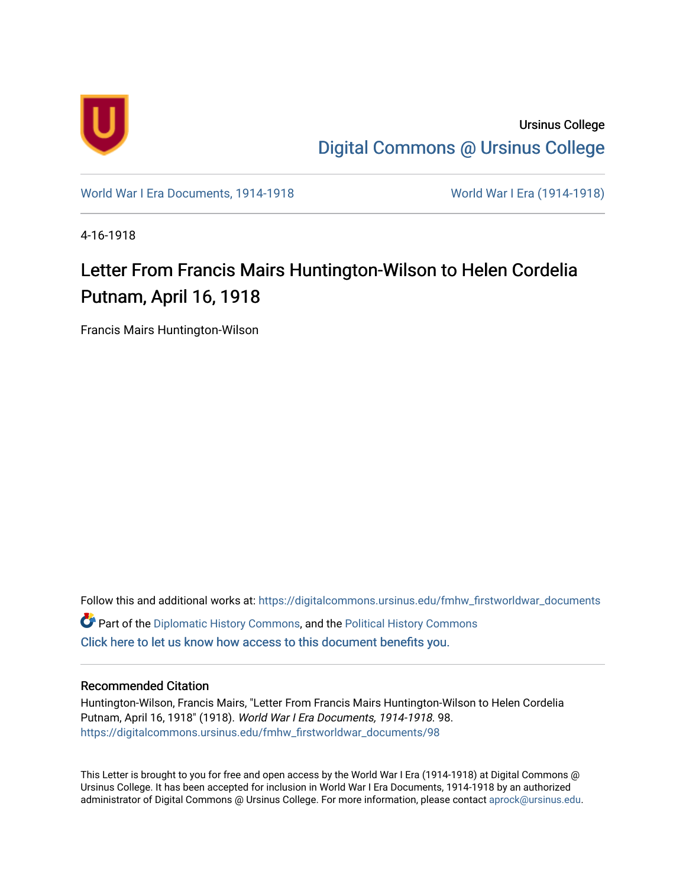

Ursinus College [Digital Commons @ Ursinus College](https://digitalcommons.ursinus.edu/) 

[World War I Era Documents, 1914-1918](https://digitalcommons.ursinus.edu/fmhw_firstworldwar_documents) [World War I Era \(1914-1918\)](https://digitalcommons.ursinus.edu/fmhw_firstworldwar) 

4-16-1918

## Letter From Francis Mairs Huntington-Wilson to Helen Cordelia Putnam, April 16, 1918

Francis Mairs Huntington-Wilson

Follow this and additional works at: [https://digitalcommons.ursinus.edu/fmhw\\_firstworldwar\\_documents](https://digitalcommons.ursinus.edu/fmhw_firstworldwar_documents?utm_source=digitalcommons.ursinus.edu%2Ffmhw_firstworldwar_documents%2F98&utm_medium=PDF&utm_campaign=PDFCoverPages)  **C** Part of the [Diplomatic History Commons,](http://network.bepress.com/hgg/discipline/497?utm_source=digitalcommons.ursinus.edu%2Ffmhw_firstworldwar_documents%2F98&utm_medium=PDF&utm_campaign=PDFCoverPages) and the [Political History Commons](http://network.bepress.com/hgg/discipline/505?utm_source=digitalcommons.ursinus.edu%2Ffmhw_firstworldwar_documents%2F98&utm_medium=PDF&utm_campaign=PDFCoverPages) [Click here to let us know how access to this document benefits you.](https://ursinus.co1.qualtrics.com/jfe/form/SV_1RIyfqzdxsWfMQ5) 

## Recommended Citation

Huntington-Wilson, Francis Mairs, "Letter From Francis Mairs Huntington-Wilson to Helen Cordelia Putnam, April 16, 1918" (1918). World War I Era Documents, 1914-1918. 98. [https://digitalcommons.ursinus.edu/fmhw\\_firstworldwar\\_documents/98](https://digitalcommons.ursinus.edu/fmhw_firstworldwar_documents/98?utm_source=digitalcommons.ursinus.edu%2Ffmhw_firstworldwar_documents%2F98&utm_medium=PDF&utm_campaign=PDFCoverPages) 

This Letter is brought to you for free and open access by the World War I Era (1914-1918) at Digital Commons @ Ursinus College. It has been accepted for inclusion in World War I Era Documents, 1914-1918 by an authorized administrator of Digital Commons @ Ursinus College. For more information, please contact [aprock@ursinus.edu.](mailto:aprock@ursinus.edu)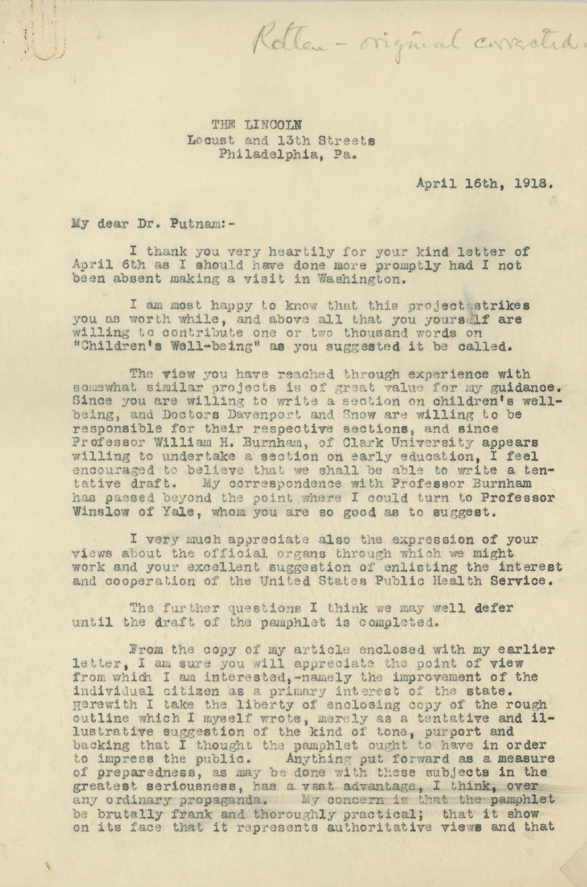THE LINCOLN Locust and 13th Streets Philadelphia, Pa.

April 16th, 1918.

Rotten - original corrected.

My dear Dr. Putnam:-

I thank you very heartily for your kind letter of April 6th as I should have done more promptly had I not been absent making a visit in Washington.

I am most happy to know that this project strikes you as worth while, and above all that you yourself are willing to contribute one or two thousand words on "Children's Well-being" as you suggested it be called.

The view you have reached through experience with somewhat similar projects is of great value for my guidance. Since you are willing to write a section on children's wellbeing, and Doctors Davenport and Snow are willing to be responsible for their respective sections, and since Professor William H. Burnham, of Clark University appears willing to undertake a section on early education, I feel encouraged to believe that we shall be able to write a tentative draft. My correspondence with Professor Burnham<br>has passed beyond the point where I could turn to Professor Winslow of Yale, whom you are so good as to suggest.

I very much appreciate also the expression of your views about the official organs through which we might work and your excellent suggestion of enlisting the interest and cooperation of the United States Public Health Service.

The further questions I think we may well defer until the draft of the pamphlet is completed.

From the copy of my article enclosed with my earlier<br>letter, I am sure you will appreciate the point of view from which I am interested, -namely the improvement of the individual citizen as a primary interest of the state.<br>Herewith I take the liberty of enclosing copy of the rough outline which I myself wrote, merely as a tentative and illustrative suggestion of the kind of tone, purport and backing that I thought the pamphlet ought to have in order to impress the public. Anything put forward as a measure of preparedness, as may be done with these subjects in the greatest seriousness, has a vast advantage, I think, over any ordinary propaganda. My concern is that the pamohlet be brutally frank and thoroughly practical; that it show on its face that it represents authoritative views and that